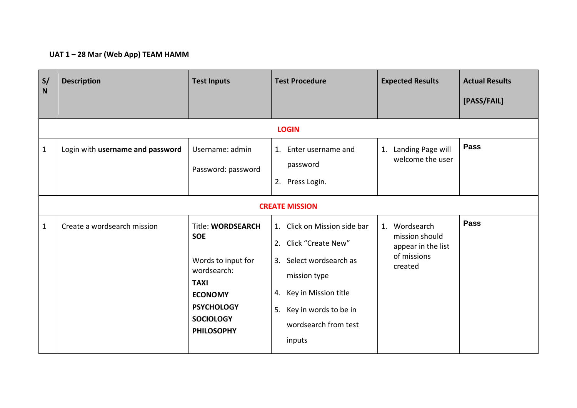## **UAT 1 – 28 Mar (Web App) TEAM HAMM**

| $\mathsf{s}/\mathsf{s}$<br>N | <b>Description</b>               | <b>Test Inputs</b>                                                                                                                                                         | <b>Test Procedure</b>                                                                                                                                                                     | <b>Expected Results</b>                                                         | <b>Actual Results</b><br>[PASS/FAIL] |  |  |  |
|------------------------------|----------------------------------|----------------------------------------------------------------------------------------------------------------------------------------------------------------------------|-------------------------------------------------------------------------------------------------------------------------------------------------------------------------------------------|---------------------------------------------------------------------------------|--------------------------------------|--|--|--|
|                              | <b>LOGIN</b>                     |                                                                                                                                                                            |                                                                                                                                                                                           |                                                                                 |                                      |  |  |  |
| $\mathbf{1}$                 | Login with username and password | Username: admin<br>Password: password                                                                                                                                      | 1. Enter username and<br>password<br>2. Press Login.                                                                                                                                      | 1. Landing Page will<br>welcome the user                                        | <b>Pass</b>                          |  |  |  |
|                              | <b>CREATE MISSION</b>            |                                                                                                                                                                            |                                                                                                                                                                                           |                                                                                 |                                      |  |  |  |
| $\mathbf{1}$                 | Create a wordsearch mission      | <b>Title: WORDSEARCH</b><br><b>SOE</b><br>Words to input for<br>wordsearch:<br><b>TAXI</b><br><b>ECONOMY</b><br><b>PSYCHOLOGY</b><br><b>SOCIOLOGY</b><br><b>PHILOSOPHY</b> | 1. Click on Mission side bar<br>2. Click "Create New"<br>3. Select wordsearch as<br>mission type<br>4. Key in Mission title<br>5. Key in words to be in<br>wordsearch from test<br>inputs | 1. Wordsearch<br>mission should<br>appear in the list<br>of missions<br>created | <b>Pass</b>                          |  |  |  |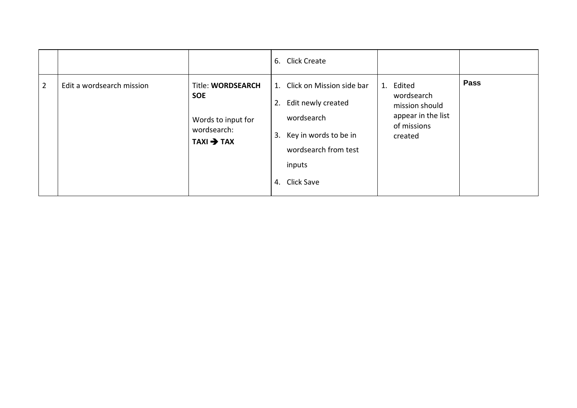|                |                           |                                                                                                       | 6. Click Create                                                                                                                                    |                                                                                           |             |
|----------------|---------------------------|-------------------------------------------------------------------------------------------------------|----------------------------------------------------------------------------------------------------------------------------------------------------|-------------------------------------------------------------------------------------------|-------------|
| $\overline{2}$ | Edit a wordsearch mission | <b>Title: WORDSEARCH</b><br><b>SOE</b><br>Words to input for<br>wordsearch:<br>$TAXI \rightarrow TAX$ | 1. Click on Mission side bar<br>2. Edit newly created<br>wordsearch<br>3. Key in words to be in<br>wordsearch from test<br>inputs<br>4. Click Save | 1. Edited<br>wordsearch<br>mission should<br>appear in the list<br>of missions<br>created | <b>Pass</b> |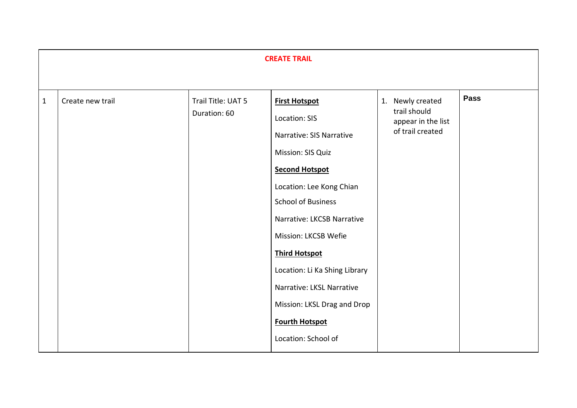|              | <b>CREATE TRAIL</b> |                                    |                                                                                                                                                                                                                                                                                                                                                                                                     |                                                                            |             |  |  |
|--------------|---------------------|------------------------------------|-----------------------------------------------------------------------------------------------------------------------------------------------------------------------------------------------------------------------------------------------------------------------------------------------------------------------------------------------------------------------------------------------------|----------------------------------------------------------------------------|-------------|--|--|
| $\mathbf{1}$ | Create new trail    | Trail Title: UAT 5<br>Duration: 60 | <b>First Hotspot</b><br>Location: SIS<br>Narrative: SIS Narrative<br>Mission: SIS Quiz<br><b>Second Hotspot</b><br>Location: Lee Kong Chian<br><b>School of Business</b><br>Narrative: LKCSB Narrative<br>Mission: LKCSB Wefie<br><b>Third Hotspot</b><br>Location: Li Ka Shing Library<br>Narrative: LKSL Narrative<br>Mission: LKSL Drag and Drop<br><b>Fourth Hotspot</b><br>Location: School of | 1. Newly created<br>trail should<br>appear in the list<br>of trail created | <b>Pass</b> |  |  |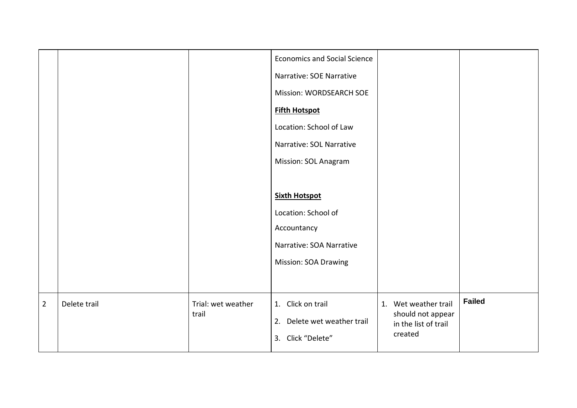|                |              |                             | <b>Economics and Social Science</b><br>Narrative: SOE Narrative<br>Mission: WORDSEARCH SOE<br><b>Fifth Hotspot</b><br>Location: School of Law<br>Narrative: SOL Narrative<br>Mission: SOL Anagram<br><b>Sixth Hotspot</b><br>Location: School of<br>Accountancy<br>Narrative: SOA Narrative<br><b>Mission: SOA Drawing</b> |                                                                              |               |
|----------------|--------------|-----------------------------|----------------------------------------------------------------------------------------------------------------------------------------------------------------------------------------------------------------------------------------------------------------------------------------------------------------------------|------------------------------------------------------------------------------|---------------|
| $\overline{2}$ | Delete trail | Trial: wet weather<br>trail | 1. Click on trail<br>2. Delete wet weather trail<br>3. Click "Delete"                                                                                                                                                                                                                                                      | 1. Wet weather trail<br>should not appear<br>in the list of trail<br>created | <b>Failed</b> |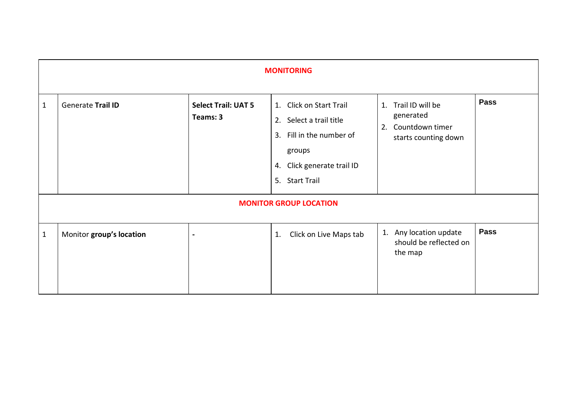| <b>MONITORING</b>             |                          |                                        |                                                                                                                                          |                                                                                |             |  |  |
|-------------------------------|--------------------------|----------------------------------------|------------------------------------------------------------------------------------------------------------------------------------------|--------------------------------------------------------------------------------|-------------|--|--|
| $\mathbf{1}$                  | Generate Trail ID        | <b>Select Trail: UAT 5</b><br>Teams: 3 | 1. Click on Start Trail<br>2. Select a trail title<br>3. Fill in the number of<br>groups<br>4. Click generate trail ID<br>5. Start Trail | 1. Trail ID will be<br>generated<br>2. Countdown timer<br>starts counting down | <b>Pass</b> |  |  |
| <b>MONITOR GROUP LOCATION</b> |                          |                                        |                                                                                                                                          |                                                                                |             |  |  |
| $\mathbf{1}$                  | Monitor group's location | $\blacksquare$                         | Click on Live Maps tab<br>1.                                                                                                             | 1. Any location update<br>should be reflected on<br>the map                    | <b>Pass</b> |  |  |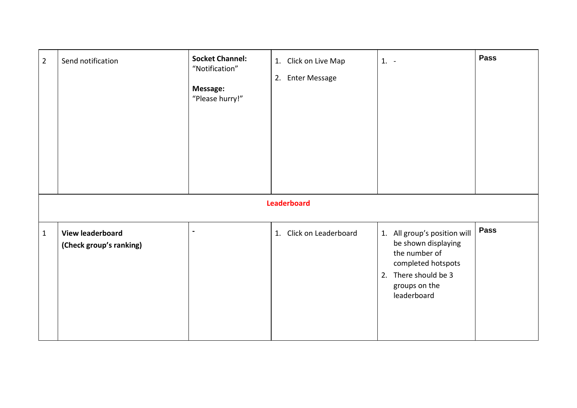| $\overline{2}$ | Send notification                                  | <b>Socket Channel:</b><br>"Notification"<br>Message:<br>"Please hurry!" | 1. Click on Live Map<br>2. Enter Message | $1. -$                                                                                                                                             | <b>Pass</b> |  |  |  |
|----------------|----------------------------------------------------|-------------------------------------------------------------------------|------------------------------------------|----------------------------------------------------------------------------------------------------------------------------------------------------|-------------|--|--|--|
|                | Leaderboard                                        |                                                                         |                                          |                                                                                                                                                    |             |  |  |  |
| $\mathbf 1$    | <b>View leaderboard</b><br>(Check group's ranking) | ä,                                                                      | 1. Click on Leaderboard                  | 1. All group's position will<br>be shown displaying<br>the number of<br>completed hotspots<br>2. There should be 3<br>groups on the<br>leaderboard | <b>Pass</b> |  |  |  |